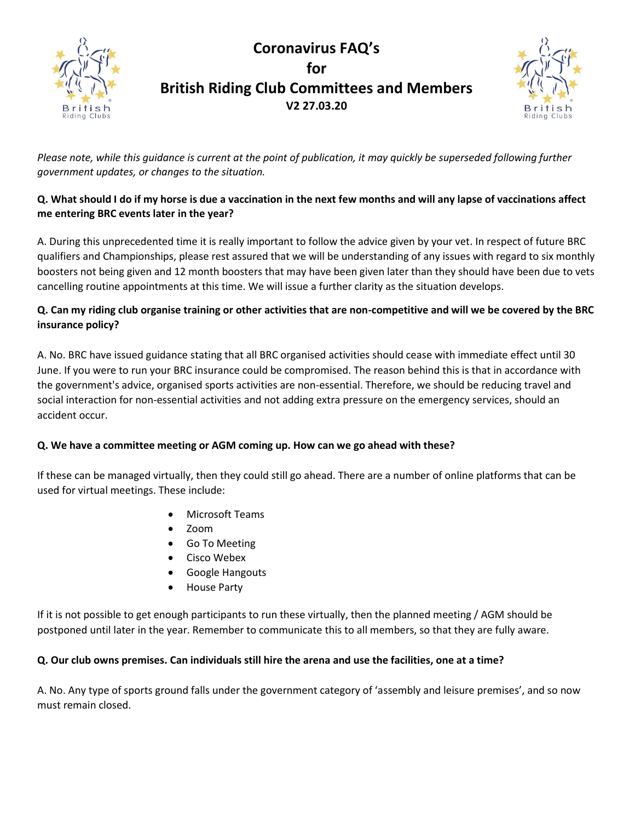# **Coronavirus FAQ's for British Riding Club Committees and Members V2 27.03.20**



*Please note, while this guidance is current at the point of publication, it may quickly be superseded following further government updates, or changes to the situation.* 

# **Q. What should I do if my horse is due a vaccination in the next few months and will any lapse of vaccinations affect me entering BRC events later in the year?**

A. During this unprecedented time it is really important to follow the advice given by your vet. In respect of future BRC qualifiers and Championships, please rest assured that we will be understanding of any issues with regard to six monthly boosters not being given and 12 month boosters that may have been given later than they should have been due to vets cancelling routine appointments at this time. We will issue a further clarity as the situation develops.

# **Q. Can my riding club organise training or other activities that are non-competitive and will we be covered by the BRC insurance policy?**

A. No. BRC have issued guidance stating that all BRC organised activities should cease with immediate effect until 30 June. If you were to run your BRC insurance could be compromised. The reason behind this is that in accordance with the government's advice, organised sports activities are non-essential. Therefore, we should be reducing travel and social interaction for non-essential activities and not adding extra pressure on the emergency services, should an accident occur.

# **Q. We have a committee meeting or AGM coming up. How can we go ahead with these?**

If these can be managed virtually, then they could still go ahead. There are a number of online platforms that can be used for virtual meetings. These include:

- Microsoft Teams
- Zoom

Riding Clubs

- Go To Meeting
- Cisco Webex
- Google Hangouts
- House Party

If it is not possible to get enough participants to run these virtually, then the planned meeting / AGM should be postponed until later in the year. Remember to communicate this to all members, so that they are fully aware.

## **Q. Our club owns premises. Can individuals still hire the arena and use the facilities, one at a time?**

A. No. Any type of sports ground falls under the government category of 'assembly and leisure premises', and so now must remain closed.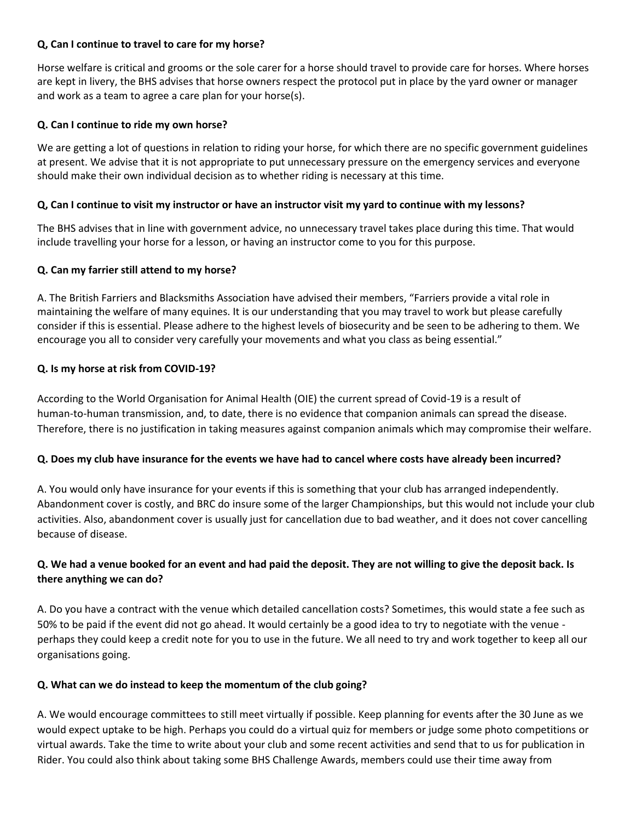#### **Q, Can I continue to travel to care for my horse?**

Horse welfare is critical and grooms or the sole carer for a horse should travel to provide care for horses. Where horses are kept in livery, the BHS advises that horse owners respect the protocol put in place by the yard owner or manager and work as a team to agree a care plan for your horse(s).

#### **Q. Can I continue to ride my own horse?**

We are getting a lot of questions in relation to riding your horse, for which there are no specific government guidelines at present. We advise that it is not appropriate to put unnecessary pressure on the emergency services and everyone should make their own individual decision as to whether riding is necessary at this time.

#### **Q, Can I continue to visit my instructor or have an instructor visit my yard to continue with my lessons?**

The BHS advises that in line with government advice, no unnecessary travel takes place during this time. That would include travelling your horse for a lesson, or having an instructor come to you for this purpose.

#### **Q. Can my farrier still attend to my horse?**

A[. The British Farriers and Blacksmiths Association have advised their members](https://www.forgeandfarrier.co.uk/bfba-news/1067/coronavirus-covid-19-24-03-20.htm), "Farriers provide a vital role in maintaining the welfare of many equines. It is our understanding that you may travel to work but please carefully consider if this is essential. Please adhere to the highest levels of biosecurity and be seen to be adhering to them. We encourage you all to consider very carefully your movements and what you class as being essential."

#### **Q. Is my horse at risk from COVID-19?**

According to the World Organisation for Animal Health (OIE) the current spread of Covid-19 is a result of human-to-human transmission, and, to date, there is no evidence that companion animals can spread the disease. Therefore, there is no justification in taking measures against companion animals which may compromise their welfare.

#### **Q. Does my club have insurance for the events we have had to cancel where costs have already been incurred?**

A. You would only have insurance for your events if this is something that your club has arranged independently. Abandonment cover is costly, and BRC do insure some of the larger Championships, but this would not include your club activities. Also, abandonment cover is usually just for cancellation due to bad weather, and it does not cover cancelling because of disease.

# **Q. We had a venue booked for an event and had paid the deposit. They are not willing to give the deposit back. Is there anything we can do?**

A. Do you have a contract with the venue which detailed cancellation costs? Sometimes, this would state a fee such as 50% to be paid if the event did not go ahead. It would certainly be a good idea to try to negotiate with the venue perhaps they could keep a credit note for you to use in the future. We all need to try and work together to keep all our organisations going.

## **Q. What can we do instead to keep the momentum of the club going?**

A. We would encourage committees to still meet virtually if possible. Keep planning for events after the 30 June as we would expect uptake to be high. Perhaps you could do a virtual quiz for members or judge some photo competitions or virtual awards. Take the time to write about your club and some recent activities and send that to us for publication in Rider. You could also think about taking some BHS Challenge Awards, members could use their time away from